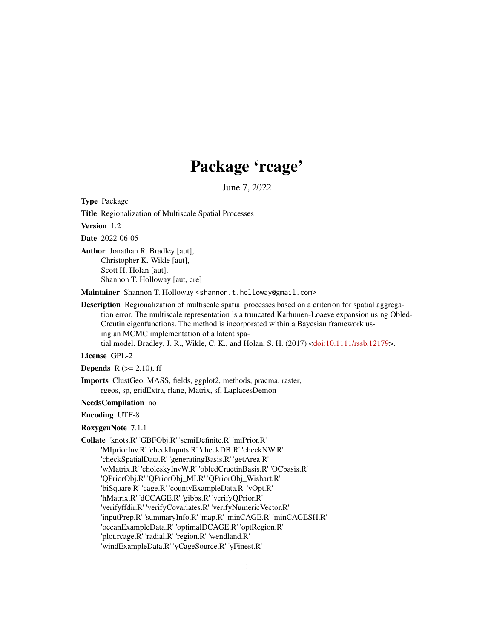# Package 'rcage'

June 7, 2022

Type Package

Title Regionalization of Multiscale Spatial Processes

Version 1.2

Date 2022-06-05

Author Jonathan R. Bradley [aut], Christopher K. Wikle [aut], Scott H. Holan [aut], Shannon T. Holloway [aut, cre]

Maintainer Shannon T. Holloway <shannon.t.holloway@gmail.com>

Description Regionalization of multiscale spatial processes based on a criterion for spatial aggregation error. The multiscale representation is a truncated Karhunen-Loaeve expansion using Obled-Creutin eigenfunctions. The method is incorporated within a Bayesian framework using an MCMC implementation of a latent spatial model. Bradley, J. R., Wikle, C. K., and Holan, S. H. (2017) [<doi:10.1111/rssb.12179>](https://doi.org/10.1111/rssb.12179).

#### License GPL-2

**Depends** R  $(>= 2.10)$ , ff

Imports ClustGeo, MASS, fields, ggplot2, methods, pracma, raster, rgeos, sp, gridExtra, rlang, Matrix, sf, LaplacesDemon

## NeedsCompilation no

#### Encoding UTF-8

RoxygenNote 7.1.1

Collate 'knots.R' 'GBFObj.R' 'semiDefinite.R' 'miPrior.R' 'MIpriorInv.R' 'checkInputs.R' 'checkDB.R' 'checkNW.R' 'checkSpatialData.R' 'generatingBasis.R' 'getArea.R' 'wMatrix.R' 'choleskyInvW.R' 'obledCruetinBasis.R' 'OCbasis.R' 'QPriorObj.R' 'QPriorObj\_MI.R' 'QPriorObj\_Wishart.R' 'biSquare.R' 'cage.R' 'countyExampleData.R' 'yOpt.R' 'hMatrix.R' 'dCCAGE.R' 'gibbs.R' 'verifyQPrior.R' 'verifyffdir.R' 'verifyCovariates.R' 'verifyNumericVector.R' 'inputPrep.R' 'summaryInfo.R' 'map.R' 'minCAGE.R' 'minCAGESH.R' 'oceanExampleData.R' 'optimalDCAGE.R' 'optRegion.R' 'plot.rcage.R' 'radial.R' 'region.R' 'wendland.R' 'windExampleData.R' 'yCageSource.R' 'yFinest.R'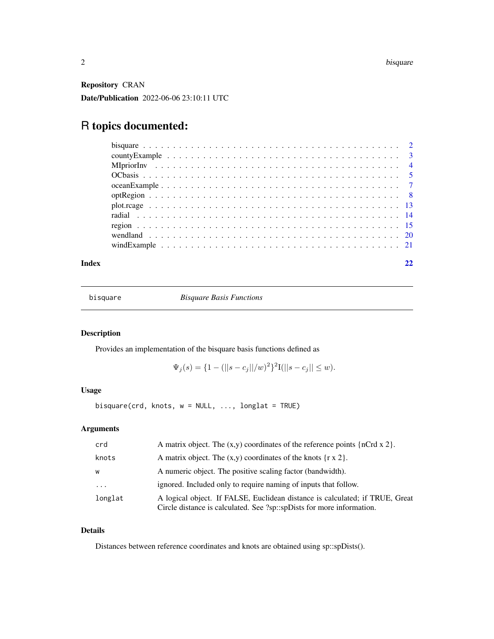<span id="page-1-0"></span>Repository CRAN

Date/Publication 2022-06-06 23:10:11 UTC

## R topics documented:

#### **Index** [22](#page-21-0)

bisquare *Bisquare Basis Functions*

## Description

Provides an implementation of the bisquare basis functions defined as

 $\Psi_j(s) = \{1 - (||s - c_j||/w)^2\}^2 I(||s - c_j|| \leq w).$ 

## Usage

bisquare(crd, knots,  $w = NULL$ , ..., longlat = TRUE)

## Arguments

| crd      | A matrix object. The $(x,y)$ coordinates of the reference points $\{nCrd x 2\}$ .                                                                     |
|----------|-------------------------------------------------------------------------------------------------------------------------------------------------------|
| knots    | A matrix object. The $(x,y)$ coordinates of the knots $\{r \times 2\}$ .                                                                              |
| W        | A numeric object. The positive scaling factor (bandwidth).                                                                                            |
| $\cdots$ | ignored. Included only to require naming of inputs that follow.                                                                                       |
| longlat  | A logical object. If FALSE, Euclidean distance is calculated; if TRUE, Great<br>Circle distance is calculated. See ?sp::spDists for more information. |

## Details

Distances between reference coordinates and knots are obtained using sp::spDists().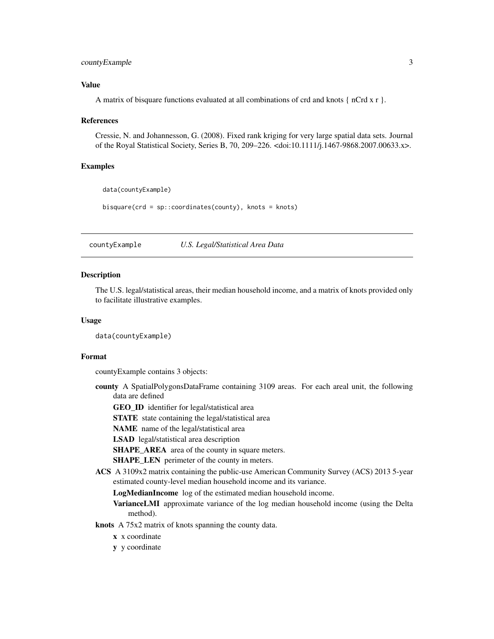## <span id="page-2-0"></span>countyExample 3

## Value

A matrix of bisquare functions evaluated at all combinations of crd and knots  $\{nCrd x r\}$ .

#### References

Cressie, N. and Johannesson, G. (2008). Fixed rank kriging for very large spatial data sets. Journal of the Royal Statistical Society, Series B, 70, 209–226. <doi:10.1111/j.1467-9868.2007.00633.x>.

#### Examples

```
data(countyExample)
bisquare(crd = sp::coordinates(county), knots = knots)
```
countyExample *U.S. Legal/Statistical Area Data*

## Description

The U.S. legal/statistical areas, their median household income, and a matrix of knots provided only to facilitate illustrative examples.

#### Usage

data(countyExample)

#### Format

countyExample contains 3 objects:

county A SpatialPolygonsDataFrame containing 3109 areas. For each areal unit, the following data are defined

GEO\_ID identifier for legal/statistical area

STATE state containing the legal/statistical area

NAME name of the legal/statistical area

LSAD legal/statistical area description

SHAPE\_AREA area of the county in square meters.

SHAPE\_LEN perimeter of the county in meters.

ACS A 3109x2 matrix containing the public-use American Community Survey (ACS) 2013 5-year estimated county-level median household income and its variance.

LogMedianIncome log of the estimated median household income.

VarianceLMI approximate variance of the log median household income (using the Delta method).

## knots A 75x2 matrix of knots spanning the county data.

- x x coordinate
- y y coordinate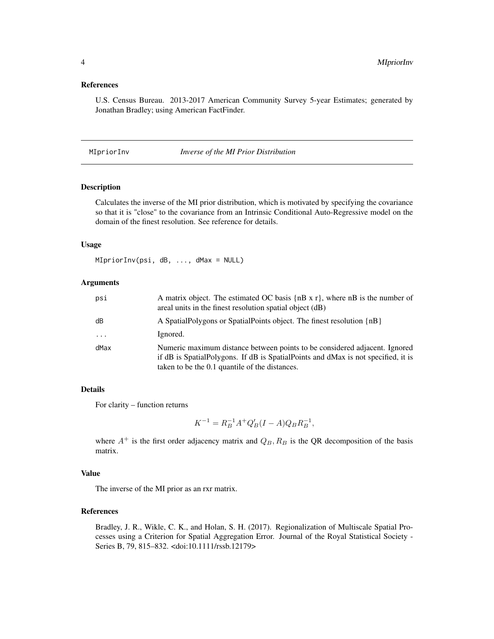#### <span id="page-3-0"></span>References

U.S. Census Bureau. 2013-2017 American Community Survey 5-year Estimates; generated by Jonathan Bradley; using American FactFinder.

MIpriorInv *Inverse of the MI Prior Distribution*

#### Description

Calculates the inverse of the MI prior distribution, which is motivated by specifying the covariance so that it is "close" to the covariance from an Intrinsic Conditional Auto-Regressive model on the domain of the finest resolution. See reference for details.

## Usage

MIpriorInv(psi, dB, ..., dMax = NULL)

#### Arguments

| psi      | A matrix object. The estimated OC basis $\{nB \times r\}$ , where nB is the number of<br>areal units in the finest resolution spatial object (dB)                                                                 |
|----------|-------------------------------------------------------------------------------------------------------------------------------------------------------------------------------------------------------------------|
| dB       | A SpatialPolygons or SpatialPoints object. The finest resolution {nB}                                                                                                                                             |
| $\cdots$ | Ignored.                                                                                                                                                                                                          |
| dMax     | Numeric maximum distance between points to be considered adjacent. Ignored<br>if dB is SpatialPolygons. If dB is SpatialPoints and dMax is not specified, it is<br>taken to be the 0.1 quantile of the distances. |

#### Details

For clarity – function returns

$$
K^{-1} = R_B^{-1}A^+Q'_B(I - A)Q_B R_B^{-1},
$$

where  $A^+$  is the first order adjacency matrix and  $Q_B$ ,  $R_B$  is the QR decomposition of the basis matrix.

#### Value

The inverse of the MI prior as an rxr matrix.

## References

Bradley, J. R., Wikle, C. K., and Holan, S. H. (2017). Regionalization of Multiscale Spatial Processes using a Criterion for Spatial Aggregation Error. Journal of the Royal Statistical Society - Series B, 79, 815–832. <doi:10.1111/rssb.12179>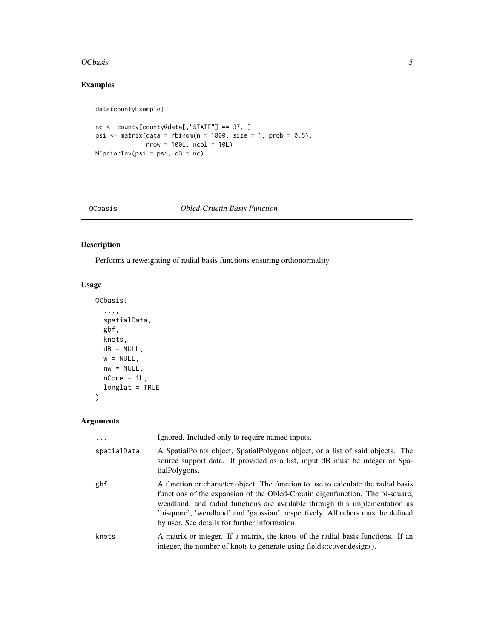#### <span id="page-4-0"></span>OCbasis 5

## Examples

data(countyExample)

```
nc <- county[county@data[,"STATE"] == 37, ]
psi \leq matrix(data = rbinom(n = 1000, size = 1, prob = 0.5),
             nrow = 100L, ncol = 10L)
MIpriorInv(psi = psi, dB = nc)
```
#### OCbasis *Obled-Cruetin Basis Function*

## Description

Performs a reweighting of radial basis functions ensuring orthonormality.

## Usage

```
OCbasis(
  ...,
 spatialData,
 gbf,
 knots,
 dB = NULL,w = NULL,nw = NULL,nCore = 1L,
 longlat = TRUE
```
)

## Arguments

| .           | Ignored. Included only to require named inputs.                                                                                                                                                                                                                                                                                                                                       |
|-------------|---------------------------------------------------------------------------------------------------------------------------------------------------------------------------------------------------------------------------------------------------------------------------------------------------------------------------------------------------------------------------------------|
| spatialData | A SpatialPoints object, SpatialPolygons object, or a list of said objects. The<br>source support data. If provided as a list, input dB must be integer or Spa-<br>tialPolygons.                                                                                                                                                                                                       |
| gbf         | A function or character object. The function to use to calculate the radial basis<br>functions of the expansion of the Obled-Creutin eigenfunction. The bi-square,<br>wendland, and radial functions are available through this implementation as<br>'bisquare', 'wendland' and 'gaussian', respectively. All others must be defined<br>by user. See details for further information. |
| knots       | A matrix or integer. If a matrix, the knots of the radial basis functions. If an<br>integer, the number of knots to generate using fields::cover.design().                                                                                                                                                                                                                            |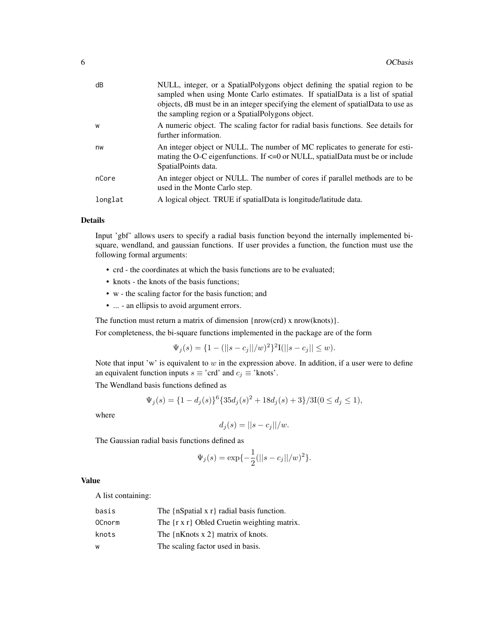| dB      | NULL, integer, or a SpatialPolygons object defining the spatial region to be<br>sampled when using Monte Carlo estimates. If spatial Data is a list of spatial<br>objects, dB must be in an integer specifying the element of spatialData to use as<br>the sampling region or a SpatialPolygons object. |
|---------|---------------------------------------------------------------------------------------------------------------------------------------------------------------------------------------------------------------------------------------------------------------------------------------------------------|
| W       | A numeric object. The scaling factor for radial basis functions. See details for<br>further information.                                                                                                                                                                                                |
| nw      | An integer object or NULL. The number of MC replicates to generate for esti-<br>mating the O-C eigenfunctions. If $\leq$ =0 or NULL, spatialData must be or include<br>SpatialPoints data.                                                                                                              |
| nCore   | An integer object or NULL. The number of cores if parallel methods are to be<br>used in the Monte Carlo step.                                                                                                                                                                                           |
| longlat | A logical object. TRUE if spatialData is longitude/latitude data.                                                                                                                                                                                                                                       |

#### Details

Input 'gbf' allows users to specify a radial basis function beyond the internally implemented bisquare, wendland, and gaussian functions. If user provides a function, the function must use the following formal arguments:

- crd the coordinates at which the basis functions are to be evaluated;
- knots the knots of the basis functions;
- w the scaling factor for the basis function; and
- ... an ellipsis to avoid argument errors.

The function must return a matrix of dimension {nrow(crd) x nrow(knots)}.

For completeness, the bi-square functions implemented in the package are of the form

 $\Psi_j(s) = \{1 - (||s - c_j||/w)^2\}^2 I(||s - c_j|| \leq w).$ 

Note that input 'w' is equivalent to  $w$  in the expression above. In addition, if a user were to define an equivalent function inputs  $s \equiv \text{`crd'}$  and  $c_j \equiv \text{`knots'}.$ 

The Wendland basis functions defined as

$$
\Psi_j(s) = \{1 - d_j(s)\}^6 \{35d_j(s)^2 + 18d_j(s) + 3\}/3I(0 \le d_j \le 1),
$$

where

$$
d_j(s) = ||s - c_j||/w.
$$

The Gaussian radial basis functions defined as

$$
\Psi_j(s) = \exp\{-\frac{1}{2}(||s - c_j||/w)^2\}.
$$

#### Value

A list containing:

| basis  | The ${nSpatial x r}$ radial basis function.          |
|--------|------------------------------------------------------|
| 0Cnorm | The $\{r \times r\}$ Obled Cruetin weighting matrix. |
| knots  | The ${nKnots x 2}$ matrix of knots.                  |
| W      | The scaling factor used in basis.                    |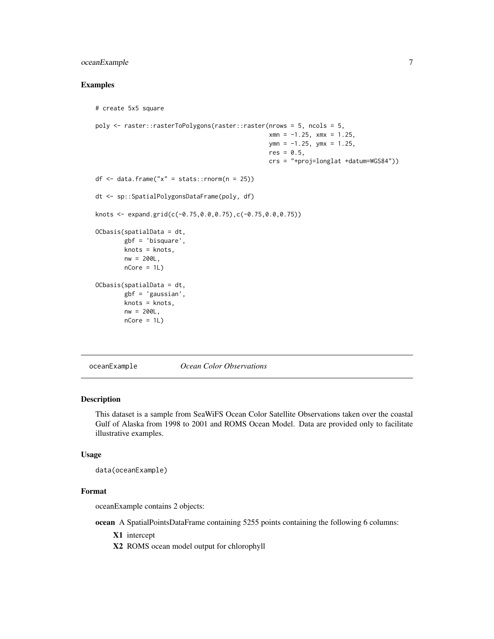## <span id="page-6-0"></span>oceanExample 7

## Examples

```
# create 5x5 square
poly <- raster::rasterToPolygons(raster::raster(nrows = 5, ncols = 5,
                                                xmn = -1.25, xmx = 1.25,
                                                ymn = -1.25, ymx = 1.25,
                                                res = 0.5,
                                                crs = "+proj=longlat +datum=WGS84"))
df \leq data.frame("x" = stats::rnorm(n = 25))
dt <- sp::SpatialPolygonsDataFrame(poly, df)
knots <- expand.grid(c(-0.75,0.0,0.75),c(-0.75,0.0,0.75))
OCbasis(spatialData = dt,
        gbf = 'bisquare',
        knots = knots,
        nw = 200L,
        nCore = 1L)OCbasis(spatialData = dt,
        gbf = 'gaussian',
        knots = knots,
        nw = 200L,nCore = 1L)
```
oceanExample *Ocean Color Observations*

## Description

This dataset is a sample from SeaWiFS Ocean Color Satellite Observations taken over the coastal Gulf of Alaska from 1998 to 2001 and ROMS Ocean Model. Data are provided only to facilitate illustrative examples.

#### Usage

```
data(oceanExample)
```
## Format

oceanExample contains 2 objects:

ocean A SpatialPointsDataFrame containing 5255 points containing the following 6 columns:

X1 intercept

X2 ROMS ocean model output for chlorophyll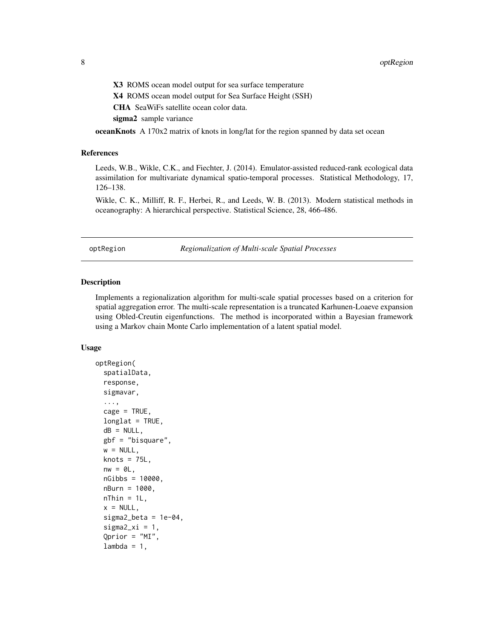<span id="page-7-0"></span>X3 ROMS ocean model output for sea surface temperature

X4 ROMS ocean model output for Sea Surface Height (SSH)

CHA SeaWiFs satellite ocean color data.

sigma<sub>2</sub> sample variance

**oceanKnots** A 170x2 matrix of knots in long/lat for the region spanned by data set ocean

#### References

Leeds, W.B., Wikle, C.K., and Fiechter, J. (2014). Emulator-assisted reduced-rank ecological data assimilation for multivariate dynamical spatio-temporal processes. Statistical Methodology, 17, 126–138.

Wikle, C. K., Milliff, R. F., Herbei, R., and Leeds, W. B. (2013). Modern statistical methods in oceanography: A hierarchical perspective. Statistical Science, 28, 466-486.

optRegion *Regionalization of Multi-scale Spatial Processes*

#### Description

Implements a regionalization algorithm for multi-scale spatial processes based on a criterion for spatial aggregation error. The multi-scale representation is a truncated Karhunen-Loaeve expansion using Obled-Creutin eigenfunctions. The method is incorporated within a Bayesian framework using a Markov chain Monte Carlo implementation of a latent spatial model.

#### Usage

```
optRegion(
  spatialData,
  response,
  sigmavar,
  ...,
  cage = TRUE,longlat = TRUE,dB = NULL,gbf = "bisquare",
  w = NULL,knots = 75L,
  nw = 0L,nGibbs = 10000,
  nBurn = 1000,
  nThin = 1L,
  x = NULL,
  sigma2_beta = 1e-04.
  signa2_xi = 1,
  Qprior = "MI",
  lambda = 1,
```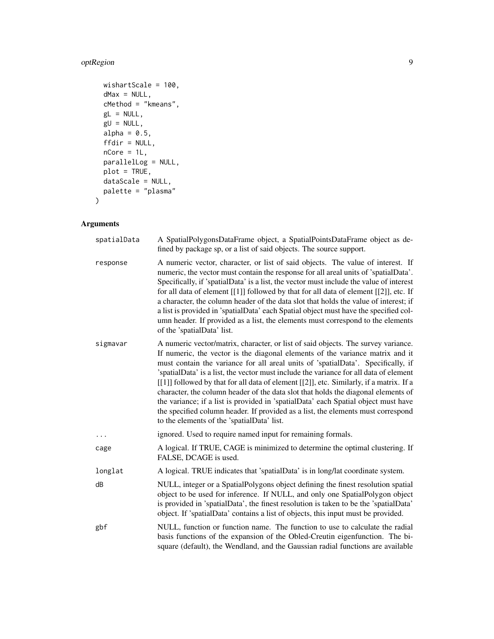## optRegion 9

```
wishartScale = 100,
 dMax = NULL,cMethod = "kmeans",
 gL = NULL,gU = NULL,alpha = 0.5,
 ffdir = NULL,
 nCore = 1L,parallelLog = NULL,
 plot = TRUE,
 dataScale = NULL,
 palette = "plasma"
)
```
## Arguments

| spatialData | A SpatialPolygonsDataFrame object, a SpatialPointsDataFrame object as de-<br>fined by package sp, or a list of said objects. The source support.                                                                                                                                                                                                                                                                                                                                                                                                                                                                                                                                                                                                        |
|-------------|---------------------------------------------------------------------------------------------------------------------------------------------------------------------------------------------------------------------------------------------------------------------------------------------------------------------------------------------------------------------------------------------------------------------------------------------------------------------------------------------------------------------------------------------------------------------------------------------------------------------------------------------------------------------------------------------------------------------------------------------------------|
| response    | A numeric vector, character, or list of said objects. The value of interest. If<br>numeric, the vector must contain the response for all areal units of 'spatialData'.<br>Specifically, if 'spatialData' is a list, the vector must include the value of interest<br>for all data of element [[1]] followed by that for all data of element [[2]], etc. If<br>a character, the column header of the data slot that holds the value of interest; if<br>a list is provided in 'spatialData' each Spatial object must have the specified col-<br>umn header. If provided as a list, the elements must correspond to the elements<br>of the 'spatialData' list.                                                                                             |
| sigmavar    | A numeric vector/matrix, character, or list of said objects. The survey variance.<br>If numeric, the vector is the diagonal elements of the variance matrix and it<br>must contain the variance for all areal units of 'spatialData'. Specifically, if<br>'spatialData' is a list, the vector must include the variance for all data of element<br>[[1]] followed by that for all data of element [[2]], etc. Similarly, if a matrix. If a<br>character, the column header of the data slot that holds the diagonal elements of<br>the variance; if a list is provided in 'spatialData' each Spatial object must have<br>the specified column header. If provided as a list, the elements must correspond<br>to the elements of the 'spatialData' list. |
| $\cdots$    | ignored. Used to require named input for remaining formals.                                                                                                                                                                                                                                                                                                                                                                                                                                                                                                                                                                                                                                                                                             |
| cage        | A logical. If TRUE, CAGE is minimized to determine the optimal clustering. If<br>FALSE, DCAGE is used.                                                                                                                                                                                                                                                                                                                                                                                                                                                                                                                                                                                                                                                  |
| longlat     | A logical. TRUE indicates that 'spatialData' is in long/lat coordinate system.                                                                                                                                                                                                                                                                                                                                                                                                                                                                                                                                                                                                                                                                          |
| dB          | NULL, integer or a SpatialPolygons object defining the finest resolution spatial<br>object to be used for inference. If NULL, and only one SpatialPolygon object<br>is provided in 'spatialData', the finest resolution is taken to be the 'spatialData'<br>object. If 'spatialData' contains a list of objects, this input must be provided.                                                                                                                                                                                                                                                                                                                                                                                                           |
| gbf         | NULL, function or function name. The function to use to calculate the radial<br>basis functions of the expansion of the Obled-Creutin eigenfunction. The bi-<br>square (default), the Wendland, and the Gaussian radial functions are available                                                                                                                                                                                                                                                                                                                                                                                                                                                                                                         |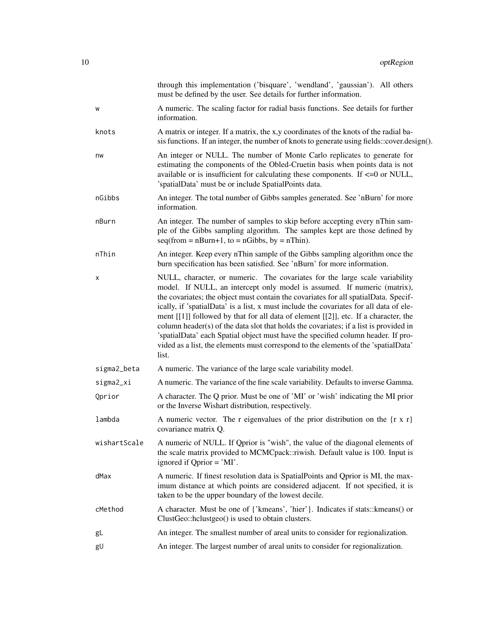|              | through this implementation ('bisquare', 'wendland', 'gaussian'). All others<br>must be defined by the user. See details for further information.                                                                                                                                                                                                                                                                                                                                                                                                                                                                                                                                                           |
|--------------|-------------------------------------------------------------------------------------------------------------------------------------------------------------------------------------------------------------------------------------------------------------------------------------------------------------------------------------------------------------------------------------------------------------------------------------------------------------------------------------------------------------------------------------------------------------------------------------------------------------------------------------------------------------------------------------------------------------|
| W            | A numeric. The scaling factor for radial basis functions. See details for further<br>information.                                                                                                                                                                                                                                                                                                                                                                                                                                                                                                                                                                                                           |
| knots        | A matrix or integer. If a matrix, the x,y coordinates of the knots of the radial ba-<br>sis functions. If an integer, the number of knots to generate using fields::cover.design().                                                                                                                                                                                                                                                                                                                                                                                                                                                                                                                         |
| nw           | An integer or NULL. The number of Monte Carlo replicates to generate for<br>estimating the components of the Obled-Cruetin basis when points data is not<br>available or is insufficient for calculating these components. If <= 0 or NULL,<br>'spatialData' must be or include SpatialPoints data.                                                                                                                                                                                                                                                                                                                                                                                                         |
| nGibbs       | An integer. The total number of Gibbs samples generated. See 'nBurn' for more<br>information.                                                                                                                                                                                                                                                                                                                                                                                                                                                                                                                                                                                                               |
| nBurn        | An integer. The number of samples to skip before accepting every nThin sam-<br>ple of the Gibbs sampling algorithm. The samples kept are those defined by<br>$seq(from = nBurn+1, to = nGibbs, by = nThin).$                                                                                                                                                                                                                                                                                                                                                                                                                                                                                                |
| nThin        | An integer. Keep every nThin sample of the Gibbs sampling algorithm once the<br>burn specification has been satisfied. See 'nBurn' for more information.                                                                                                                                                                                                                                                                                                                                                                                                                                                                                                                                                    |
| х            | NULL, character, or numeric. The covariates for the large scale variability<br>model. If NULL, an intercept only model is assumed. If numeric (matrix),<br>the covariates; the object must contain the covariates for all spatialData. Specif-<br>ically, if 'spatialData' is a list, x must include the covariates for all data of ele-<br>ment [[1]] followed by that for all data of element [[2]], etc. If a character, the<br>column header(s) of the data slot that holds the covariates; if a list is provided in<br>'spatialData' each Spatial object must have the specified column header. If pro-<br>vided as a list, the elements must correspond to the elements of the 'spatialData'<br>list. |
| sigma2_beta  | A numeric. The variance of the large scale variability model.                                                                                                                                                                                                                                                                                                                                                                                                                                                                                                                                                                                                                                               |
| sigma2_xi    | A numeric. The variance of the fine scale variability. Defaults to inverse Gamma.                                                                                                                                                                                                                                                                                                                                                                                                                                                                                                                                                                                                                           |
| Qprior       | A character. The Q prior. Must be one of 'MI' or 'wish' indicating the MI prior<br>or the Inverse Wishart distribution, respectively.                                                                                                                                                                                                                                                                                                                                                                                                                                                                                                                                                                       |
| lambda       | A numeric vector. The r eigenvalues of the prior distribution on the $\{r \times r\}$<br>covariance matrix Q.                                                                                                                                                                                                                                                                                                                                                                                                                                                                                                                                                                                               |
| wishartScale | A numeric of NULL. If Qprior is "wish", the value of the diagonal elements of<br>the scale matrix provided to MCMCpack::riwish. Default value is 100. Input is<br>ignored if Qprior = 'MI'.                                                                                                                                                                                                                                                                                                                                                                                                                                                                                                                 |
| dMax         | A numeric. If finest resolution data is SpatialPoints and Qprior is MI, the max-<br>imum distance at which points are considered adjacent. If not specified, it is<br>taken to be the upper boundary of the lowest decile.                                                                                                                                                                                                                                                                                                                                                                                                                                                                                  |
| cMethod      | A character. Must be one of {'kmeans', 'hier'}. Indicates if stats:: kmeans() or<br>ClustGeo::hclustgeo() is used to obtain clusters.                                                                                                                                                                                                                                                                                                                                                                                                                                                                                                                                                                       |
| gL           | An integer. The smallest number of areal units to consider for regionalization.                                                                                                                                                                                                                                                                                                                                                                                                                                                                                                                                                                                                                             |
| gU           | An integer. The largest number of areal units to consider for regionalization.                                                                                                                                                                                                                                                                                                                                                                                                                                                                                                                                                                                                                              |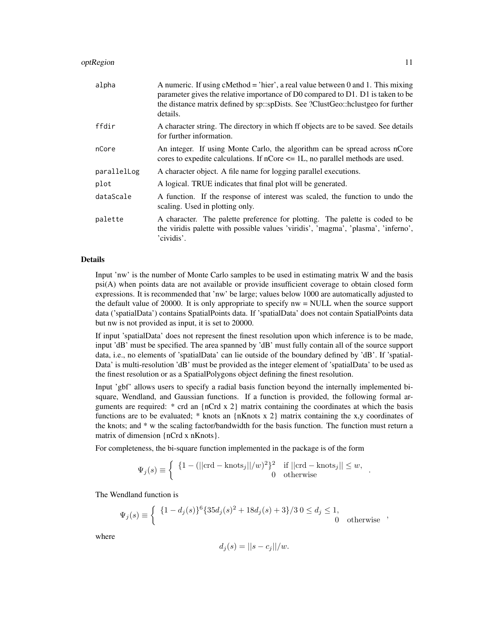#### optRegion and the state of the state of the state of the state of the state of the state of the state of the state of the state of the state of the state of the state of the state of the state of the state of the state of

| alpha       | A numeric. If using cMethod = 'hier', a real value between 0 and 1. This mixing<br>parameter gives the relative importance of D0 compared to D1. D1 is taken to be<br>the distance matrix defined by sp::spDists. See ?ClustGeo::hclustgeo for further<br>details. |
|-------------|--------------------------------------------------------------------------------------------------------------------------------------------------------------------------------------------------------------------------------------------------------------------|
| ffdir       | A character string. The directory in which if objects are to be saved. See details<br>for further information.                                                                                                                                                     |
| nCore       | An integer. If using Monte Carlo, the algorithm can be spread across nCore<br>cores to expedite calculations. If $nCore \leq 1L$ , no parallel methods are used.                                                                                                   |
| parallelLog | A character object. A file name for logging parallel executions.                                                                                                                                                                                                   |
| plot        | A logical. TRUE indicates that final plot will be generated.                                                                                                                                                                                                       |
| dataScale   | A function. If the response of interest was scaled, the function to undo the<br>scaling. Used in plotting only.                                                                                                                                                    |
| palette     | A character. The palette preference for plotting. The palette is coded to be<br>the viridis palette with possible values 'viridis', 'magma', 'plasma', 'inferno',<br>'cividis'.                                                                                    |

#### Details

Input 'nw' is the number of Monte Carlo samples to be used in estimating matrix W and the basis psi(A) when points data are not available or provide insufficient coverage to obtain closed form expressions. It is recommended that 'nw' be large; values below 1000 are automatically adjusted to the default value of 20000. It is only appropriate to specify nw = NULL when the source support data ('spatialData') contains SpatialPoints data. If 'spatialData' does not contain SpatialPoints data but nw is not provided as input, it is set to 20000.

If input 'spatialData' does not represent the finest resolution upon which inference is to be made, input 'dB' must be specified. The area spanned by 'dB' must fully contain all of the source support data, i.e., no elements of 'spatialData' can lie outside of the boundary defined by 'dB'. If 'spatial-Data' is multi-resolution 'dB' must be provided as the integer element of 'spatialData' to be used as the finest resolution or as a SpatialPolygons object defining the finest resolution.

Input 'gbf' allows users to specify a radial basis function beyond the internally implemented bisquare, Wendland, and Gaussian functions. If a function is provided, the following formal arguments are required:  $*$  crd an {nCrd x 2} matrix containing the coordinates at which the basis functions are to be evaluated; \* knots an  ${nKnots x 2}$  matrix containing the x,y coordinates of the knots; and \* w the scaling factor/bandwidth for the basis function. The function must return a matrix of dimension {nCrd x nKnots}.

For completeness, the bi-square function implemented in the package is of the form

$$
\Psi_j(s) \equiv \begin{cases} \begin{array}{c} \{1 - (||\text{crd} - \text{knots}_j||/w)^2\}^2 & \text{if } ||\text{crd} - \text{knots}_j|| \leq w, \\ 0 & \text{otherwise} \end{array} \end{cases}.
$$

The Wendland function is

$$
\Psi_j(s) \equiv \begin{cases} \{1 - d_j(s)\}^6 \{35d_j(s)^2 + 18d_j(s) + 3\}/3 \ 0 \le d_j \le 1, \\ 0 \ \text{otherwise} \end{cases}
$$

where

$$
d_j(s) = ||s - c_j||/w.
$$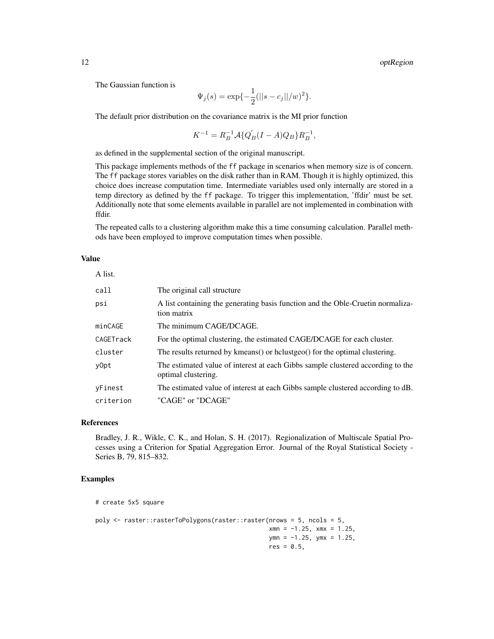The Gaussian function is

$$
\Psi_j(s) = \exp\{-\frac{1}{2}(\|s - c_j\|/w)^2\}.
$$

The default prior distribution on the covariance matrix is the MI prior function

$$
K^{-1}=R_B^{-1}{\cal A}\{Q_B^{'}(I-A)Q_B\}R_B^{-1},
$$

as defined in the supplemental section of the original manuscript.

This package implements methods of the ff package in scenarios when memory size is of concern. The ff package stores variables on the disk rather than in RAM. Though it is highly optimized, this choice does increase computation time. Intermediate variables used only internally are stored in a temp directory as defined by the ff package. To trigger this implementation, 'ffdir' must be set. Additionally note that some elements available in parallel are not implemented in combination with ffdir.

The repeated calls to a clustering algorithm make this a time consuming calculation. Parallel methods have been employed to improve computation times when possible.

#### Value

A list.

| call      | The original call structure                                                                            |
|-----------|--------------------------------------------------------------------------------------------------------|
| psi       | A list containing the generating basis function and the Oble-Cruetin normaliza-<br>tion matrix         |
| minCAGE   | The minimum CAGE/DCAGE.                                                                                |
| CAGETrack | For the optimal clustering, the estimated CAGE/DCAGE for each cluster.                                 |
| cluster   | The results returned by kmeans() or holustgeo() for the optimal clustering.                            |
| v0pt      | The estimated value of interest at each Gibbs sample clustered according to the<br>optimal clustering. |
| vFinest   | The estimated value of interest at each Gibbs sample clustered according to dB.                        |
| criterion | "CAGE" or "DCAGE"                                                                                      |

#### References

Bradley, J. R., Wikle, C. K., and Holan, S. H. (2017). Regionalization of Multiscale Spatial Processes using a Criterion for Spatial Aggregation Error. Journal of the Royal Statistical Society - Series B, 79, 815–832.

#### Examples

# create 5x5 square

```
poly <- raster::rasterToPolygons(raster::raster(nrows = 5, ncols = 5,
                                                xmn = -1.25, xmx = 1.25,
                                                ymn = -1.25, ymx = 1.25,
                                                res = 0.5,
```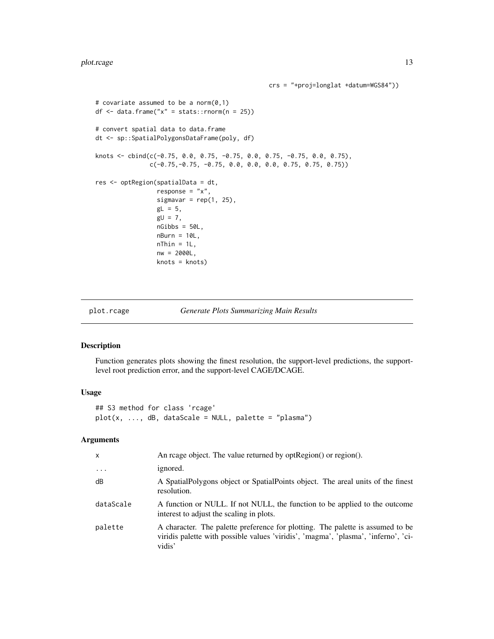```
# covariate assumed to be a norm(0,1)
df \leq data.frame("x" = stats::rnorm(n = 25))
# convert spatial data to data.frame
dt <- sp::SpatialPolygonsDataFrame(poly, df)
knots <- cbind(c(-0.75, 0.0, 0.75, -0.75, 0.0, 0.75, -0.75, 0.0, 0.75),
               c(-0.75,-0.75, -0.75, 0.0, 0.0, 0.0, 0.75, 0.75, 0.75))
res <- optRegion(spatialData = dt,
                 response = "x",sigmavar = rep(1, 25),
                 gL = 5,
                 gU = 7,
                 nGibbs = 50L,
                 nBurn = 10L,
                 nThin = 1L,nw = 2000L,knots = knots)
```
plot.rcage *Generate Plots Summarizing Main Results*

## Description

Function generates plots showing the finest resolution, the support-level predictions, the supportlevel root prediction error, and the support-level CAGE/DCAGE.

#### Usage

## S3 method for class 'rcage' plot(x, ..., dB, dataScale = NULL, palette = "plasma")

## Arguments

| X         | An reage object. The value returned by optRegion() or region().                                                                                                                |
|-----------|--------------------------------------------------------------------------------------------------------------------------------------------------------------------------------|
| $\ddots$  | ignored.                                                                                                                                                                       |
| dB        | A Spatial Polygons object or Spatial Points object. The areal units of the finest<br>resolution.                                                                               |
| dataScale | A function or NULL. If not NULL, the function to be applied to the outcome<br>interest to adjust the scaling in plots.                                                         |
| palette   | A character. The palette preference for plotting. The palette is assumed to be<br>viridis palette with possible values 'viridis', 'magma', 'plasma', 'inferno', 'ci-<br>vidis' |

crs = "+proj=longlat +datum=WGS84"))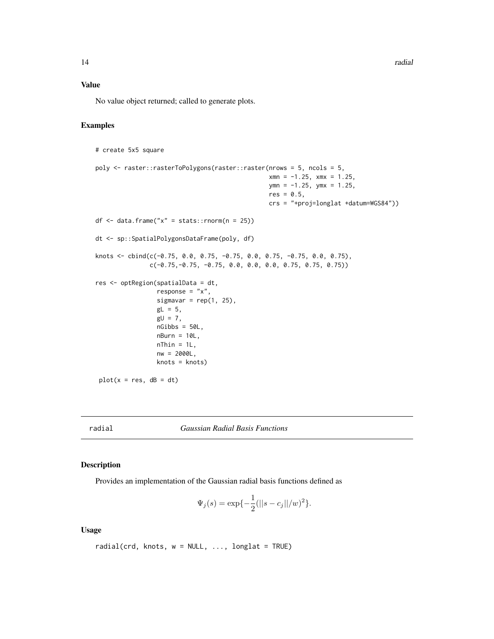<span id="page-13-0"></span>14 radial control of the control of the control of the control of the control of the control of the control of the control of the control of the control of the control of the control of the control of the control of the co

#### Value

No value object returned; called to generate plots.

#### Examples

```
# create 5x5 square
poly <- raster::rasterToPolygons(raster::raster(nrows = 5, ncols = 5,
                                                xmn = -1.25, xmx = 1.25,
                                                ymn = -1.25, ymx = 1.25,
                                                res = 0.5,
                                                crs = "+proj=longlat +datum=WGS84"))
df <- data.frame("x" = stats::rnorm(n = 25))
dt <- sp::SpatialPolygonsDataFrame(poly, df)
knots <- cbind(c(-0.75, 0.0, 0.75, -0.75, 0.0, 0.75, -0.75, 0.0, 0.75),
               c(-0.75,-0.75, -0.75, 0.0, 0.0, 0.0, 0.75, 0.75, 0.75))
res <- optRegion(spatialData = dt,
                 response = "x",sigmavar = rep(1, 25),
                 gL = 5,
                 gU = 7,
                 nGibbs = 50L,
                 nBurn = 10L,nThin = 1L,
                 nw = 2000L,
                 knots = knots)
 plot(x = res, dB = dt)
```
radial *Gaussian Radial Basis Functions*

#### Description

Provides an implementation of the Gaussian radial basis functions defined as

$$
\Psi_j(s) = \exp\{-\frac{1}{2}(\|s - c_j\|/w)^2\}.
$$

#### Usage

```
radial(crd, knots, w = NULL, ..., longlat = TRUE)
```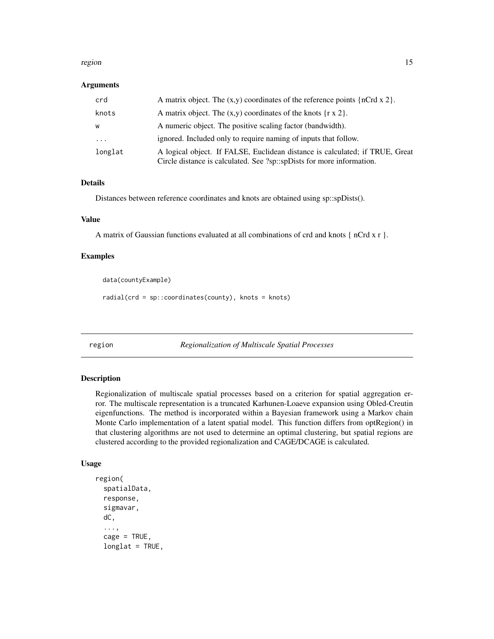#### <span id="page-14-0"></span>region and the set of the set of the set of the set of the set of the set of the set of the set of the set of the set of the set of the set of the set of the set of the set of the set of the set of the set of the set of th

#### Arguments

| crd                 | A matrix object. The $(x,y)$ coordinates of the reference points $\{nCrd x 2\}$ .                                                                     |
|---------------------|-------------------------------------------------------------------------------------------------------------------------------------------------------|
| knots               | A matrix object. The $(x,y)$ coordinates of the knots $\{r \times 2\}$ .                                                                              |
| W                   | A numeric object. The positive scaling factor (bandwidth).                                                                                            |
| $\cdot \cdot \cdot$ | ignored. Included only to require naming of inputs that follow.                                                                                       |
| longlat             | A logical object. If FALSE, Euclidean distance is calculated; if TRUE, Great<br>Circle distance is calculated. See ?sp::spDists for more information. |

## Details

Distances between reference coordinates and knots are obtained using sp::spDists().

#### Value

A matrix of Gaussian functions evaluated at all combinations of crd and knots { nCrd x r }.

#### Examples

data(countyExample)

radial(crd = sp::coordinates(county), knots = knots)

region *Regionalization of Multiscale Spatial Processes*

#### Description

Regionalization of multiscale spatial processes based on a criterion for spatial aggregation error. The multiscale representation is a truncated Karhunen-Loaeve expansion using Obled-Creutin eigenfunctions. The method is incorporated within a Bayesian framework using a Markov chain Monte Carlo implementation of a latent spatial model. This function differs from optRegion() in that clustering algorithms are not used to determine an optimal clustering, but spatial regions are clustered according to the provided regionalization and CAGE/DCAGE is calculated.

#### Usage

```
region(
  spatialData,
  response,
  sigmavar,
  dC,
  ...,
  cage = TRUE,longlat = TRUE,
```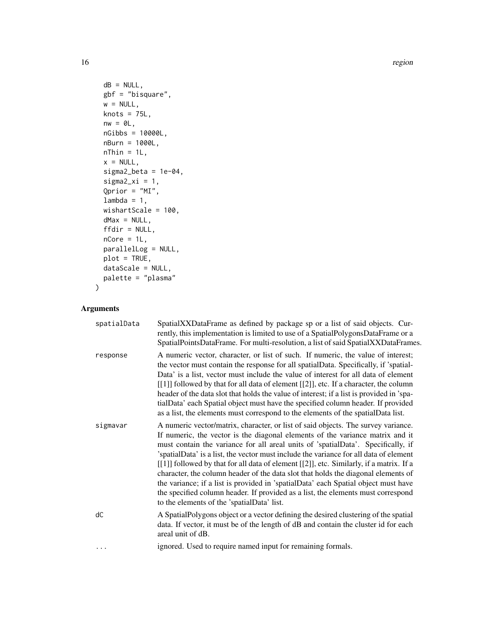16 region and the set of the set of the set of the set of the set of the set of the set of the set of the set of the set of the set of the set of the set of the set of the set of the set of the set of the set of the set of

```
dB = NULL,gbf = "bisquare",
 w = NULL,knots = 75L,
 nw = 0L,nGibbs = 10000L,
 nBurn = 1000L,
 nThin = 1L,x = NULL,sigma2_beta = 1e-04,
  signa2_xi = 1,
  Qprior = "MI",
  lambda = 1,
 wishartScale = 100,
 dMax = NULL,ffdir = NULL,
 nCore = 1L,parallelLog = NULL,
 plot = TRUE,
 dataScale = NULL,
 palette = "plasma"
\mathcal{L}
```
## Arguments

| spatialData | SpatialXXDataFrame as defined by package sp or a list of said objects. Cur-<br>rently, this implementation is limited to use of a SpatialPolygonsDataFrame or a<br>SpatialPointsDataFrame. For multi-resolution, a list of said SpatialXXDataFrames.                                                                                                                                                                                                                                                                                                                                                                                                                                                                                                    |
|-------------|---------------------------------------------------------------------------------------------------------------------------------------------------------------------------------------------------------------------------------------------------------------------------------------------------------------------------------------------------------------------------------------------------------------------------------------------------------------------------------------------------------------------------------------------------------------------------------------------------------------------------------------------------------------------------------------------------------------------------------------------------------|
| response    | A numeric vector, character, or list of such. If numeric, the value of interest;<br>the vector must contain the response for all spatialData. Specifically, if 'spatial-<br>Data' is a list, vector must include the value of interest for all data of element<br>[[1]] followed by that for all data of element [[2]], etc. If a character, the column<br>header of the data slot that holds the value of interest; if a list is provided in 'spa-<br>tialData' each Spatial object must have the specified column header. If provided<br>as a list, the elements must correspond to the elements of the spatial Data list.                                                                                                                            |
| sigmavar    | A numeric vector/matrix, character, or list of said objects. The survey variance.<br>If numeric, the vector is the diagonal elements of the variance matrix and it<br>must contain the variance for all areal units of 'spatialData'. Specifically, if<br>'spatialData' is a list, the vector must include the variance for all data of element<br>[[1]] followed by that for all data of element [[2]], etc. Similarly, if a matrix. If a<br>character, the column header of the data slot that holds the diagonal elements of<br>the variance; if a list is provided in 'spatialData' each Spatial object must have<br>the specified column header. If provided as a list, the elements must correspond<br>to the elements of the 'spatialData' list. |
| dC          | A Spatial Polygons object or a vector defining the desired clustering of the spatial<br>data. If vector, it must be of the length of dB and contain the cluster id for each<br>areal unit of dB.                                                                                                                                                                                                                                                                                                                                                                                                                                                                                                                                                        |
| .           | ignored. Used to require named input for remaining formals.                                                                                                                                                                                                                                                                                                                                                                                                                                                                                                                                                                                                                                                                                             |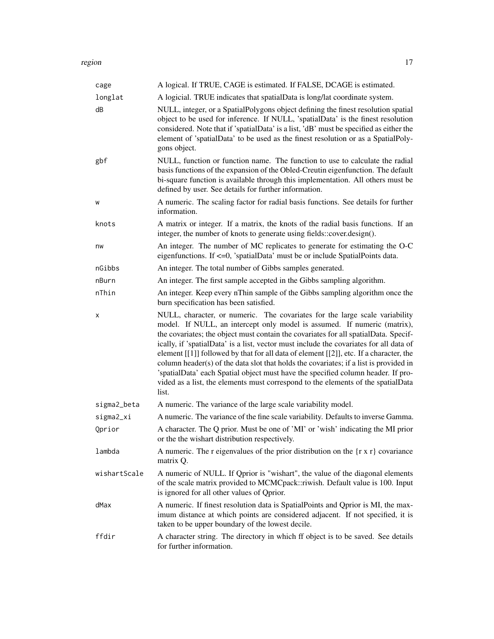| cage         | A logical. If TRUE, CAGE is estimated. If FALSE, DCAGE is estimated.                                                                                                                                                                                                                                                                                                                                                                                                                                                                                                                                                                                                                                         |
|--------------|--------------------------------------------------------------------------------------------------------------------------------------------------------------------------------------------------------------------------------------------------------------------------------------------------------------------------------------------------------------------------------------------------------------------------------------------------------------------------------------------------------------------------------------------------------------------------------------------------------------------------------------------------------------------------------------------------------------|
| longlat      | A logicial. TRUE indicates that spatialData is long/lat coordinate system.                                                                                                                                                                                                                                                                                                                                                                                                                                                                                                                                                                                                                                   |
| dB           | NULL, integer, or a SpatialPolygons object defining the finest resolution spatial<br>object to be used for inference. If NULL, 'spatialData' is the finest resolution<br>considered. Note that if 'spatialData' is a list, 'dB' must be specified as either the<br>element of 'spatialData' to be used as the finest resolution or as a SpatialPoly-<br>gons object.                                                                                                                                                                                                                                                                                                                                         |
| gbf          | NULL, function or function name. The function to use to calculate the radial<br>basis functions of the expansion of the Obled-Creutin eigenfunction. The default<br>bi-square function is available through this implementation. All others must be<br>defined by user. See details for further information.                                                                                                                                                                                                                                                                                                                                                                                                 |
| W            | A numeric. The scaling factor for radial basis functions. See details for further<br>information.                                                                                                                                                                                                                                                                                                                                                                                                                                                                                                                                                                                                            |
| knots        | A matrix or integer. If a matrix, the knots of the radial basis functions. If an<br>integer, the number of knots to generate using fields::cover.design().                                                                                                                                                                                                                                                                                                                                                                                                                                                                                                                                                   |
| nw           | An integer. The number of MC replicates to generate for estimating the O-C<br>eigenfunctions. If <= 0, 'spatialData' must be or include SpatialPoints data.                                                                                                                                                                                                                                                                                                                                                                                                                                                                                                                                                  |
| nGibbs       | An integer. The total number of Gibbs samples generated.                                                                                                                                                                                                                                                                                                                                                                                                                                                                                                                                                                                                                                                     |
| nBurn        | An integer. The first sample accepted in the Gibbs sampling algorithm.                                                                                                                                                                                                                                                                                                                                                                                                                                                                                                                                                                                                                                       |
| nThin        | An integer. Keep every nThin sample of the Gibbs sampling algorithm once the<br>burn specification has been satisfied.                                                                                                                                                                                                                                                                                                                                                                                                                                                                                                                                                                                       |
| х            | NULL, character, or numeric. The covariates for the large scale variability<br>model. If NULL, an intercept only model is assumed. If numeric (matrix),<br>the covariates; the object must contain the covariates for all spatialData. Specif-<br>ically, if 'spatialData' is a list, vector must include the covariates for all data of<br>element [[1]] followed by that for all data of element [[2]], etc. If a character, the<br>column header(s) of the data slot that holds the covariates; if a list is provided in<br>'spatialData' each Spatial object must have the specified column header. If pro-<br>vided as a list, the elements must correspond to the elements of the spatialData<br>list. |
| sigma2_beta  | A numeric. The variance of the large scale variability model.                                                                                                                                                                                                                                                                                                                                                                                                                                                                                                                                                                                                                                                |
| sigma2_xi    | A numeric. The variance of the fine scale variability. Defaults to inverse Gamma.                                                                                                                                                                                                                                                                                                                                                                                                                                                                                                                                                                                                                            |
| Qprior       | A character. The Q prior. Must be one of 'MI' or 'wish' indicating the MI prior<br>or the the wishart distribution respectively.                                                                                                                                                                                                                                                                                                                                                                                                                                                                                                                                                                             |
| lambda       | A numeric. The r eigenvalues of the prior distribution on the $\{r \times r\}$ covariance<br>matrix Q.                                                                                                                                                                                                                                                                                                                                                                                                                                                                                                                                                                                                       |
| wishartScale | A numeric of NULL. If Qprior is "wishart", the value of the diagonal elements<br>of the scale matrix provided to MCMCpack::riwish. Default value is 100. Input<br>is ignored for all other values of Qprior.                                                                                                                                                                                                                                                                                                                                                                                                                                                                                                 |
| dMax         | A numeric. If finest resolution data is SpatialPoints and Qprior is MI, the max-<br>imum distance at which points are considered adjacent. If not specified, it is<br>taken to be upper boundary of the lowest decile.                                                                                                                                                                                                                                                                                                                                                                                                                                                                                       |
| ffdir        | A character string. The directory in which ff object is to be saved. See details<br>for further information.                                                                                                                                                                                                                                                                                                                                                                                                                                                                                                                                                                                                 |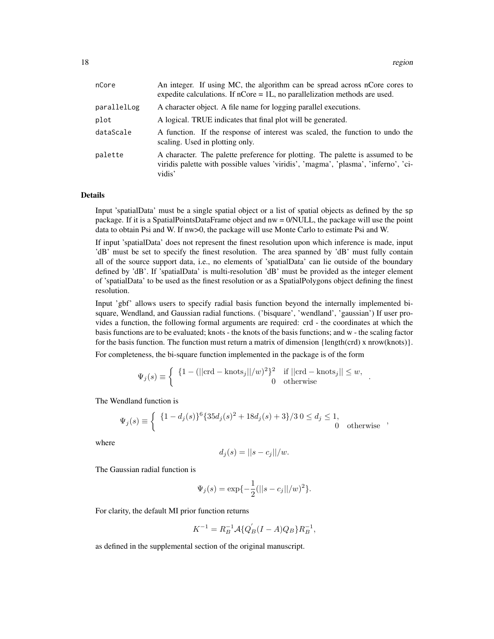| nCore       | An integer. If using MC, the algorithm can be spread across nCore cores to<br>expedite calculations. If $nCore = 1L$ , no parallelization methods are used.                    |
|-------------|--------------------------------------------------------------------------------------------------------------------------------------------------------------------------------|
| parallelLog | A character object. A file name for logging parallel executions.                                                                                                               |
| plot        | A logical. TRUE indicates that final plot will be generated.                                                                                                                   |
| dataScale   | A function. If the response of interest was scaled, the function to undo the<br>scaling. Used in plotting only.                                                                |
| palette     | A character. The palette preference for plotting. The palette is assumed to be<br>viridis palette with possible values 'viridis', 'magma', 'plasma', 'inferno', 'ci-<br>vidis' |

#### Details

Input 'spatialData' must be a single spatial object or a list of spatial objects as defined by the sp package. If it is a SpatialPointsDataFrame object and nw = 0/NULL, the package will use the point data to obtain Psi and W. If nw>0, the package will use Monte Carlo to estimate Psi and W.

If input 'spatialData' does not represent the finest resolution upon which inference is made, input 'dB' must be set to specify the finest resolution. The area spanned by 'dB' must fully contain all of the source support data, i.e., no elements of 'spatialData' can lie outside of the boundary defined by 'dB'. If 'spatialData' is multi-resolution 'dB' must be provided as the integer element of 'spatialData' to be used as the finest resolution or as a SpatialPolygons object defining the finest resolution.

Input 'gbf' allows users to specify radial basis function beyond the internally implemented bisquare, Wendland, and Gaussian radial functions. ('bisquare', 'wendland', 'gaussian') If user provides a function, the following formal arguments are required: crd - the coordinates at which the basis functions are to be evaluated; knots - the knots of the basis functions; and w - the scaling factor for the basis function. The function must return a matrix of dimension {length(crd) x nrow(knots)}.

For completeness, the bi-square function implemented in the package is of the form

$$
\Psi_j(s) \equiv \begin{cases} \begin{array}{cc} \{1 - (||\text{crd} - \text{knots}_j||/w)^2\}^2 & \text{if } ||\text{crd} - \text{knots}_j|| \leq w, \\ 0 & \text{otherwise} \end{array} \end{cases}.
$$

The Wendland function is

$$
\Psi_j(s) \equiv \begin{cases} \{1 - d_j(s)\}^6 \{35d_j(s)^2 + 18d_j(s) + 3\}/3 \ 0 \le d_j \le 1, \\ 0 \ \text{otherwise} \end{cases}
$$

where

$$
d_j(s) = ||s - c_j||/w.
$$

The Gaussian radial function is

$$
\Psi_j(s) = \exp\{-\frac{1}{2}(\|s - c_j\|/w)^2\}.
$$

For clarity, the default MI prior function returns

$$
K^{-1}=R_B^{-1}{\cal A}\{Q_B^{'}(I-A)Q_B\}R_B^{-1},
$$

as defined in the supplemental section of the original manuscript.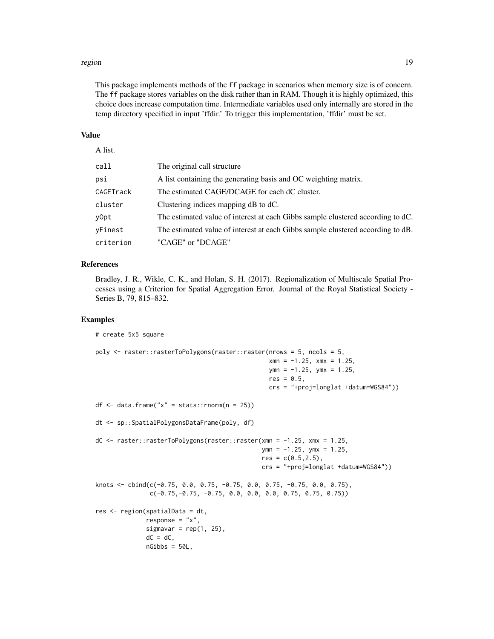#### region and the set of the set of the set of the set of the set of the set of the set of the set of the set of the set of the set of the set of the set of the set of the set of the set of the set of the set of the set of th

This package implements methods of the ff package in scenarios when memory size is of concern. The ff package stores variables on the disk rather than in RAM. Though it is highly optimized, this choice does increase computation time. Intermediate variables used only internally are stored in the temp directory specified in input 'ffdir.' To trigger this implementation, 'ffdir' must be set.

## Value

## A list.

| call      | The original call structure                                                     |
|-----------|---------------------------------------------------------------------------------|
| psi       | A list containing the generating basis and OC weighting matrix.                 |
| CAGETrack | The estimated CAGE/DCAGE for each dC cluster.                                   |
| cluster   | Clustering indices mapping dB to dC.                                            |
| y0pt      | The estimated value of interest at each Gibbs sample clustered according to dC. |
| yFinest   | The estimated value of interest at each Gibbs sample clustered according to dB. |
| criterion | "CAGE" or "DCAGE"                                                               |

#### References

Bradley, J. R., Wikle, C. K., and Holan, S. H. (2017). Regionalization of Multiscale Spatial Processes using a Criterion for Spatial Aggregation Error. Journal of the Royal Statistical Society - Series B, 79, 815–832.

## Examples

```
# create 5x5 square
poly <- raster::rasterToPolygons(raster::raster(nrows = 5, ncols = 5,
                                                xmn = -1.25, xmx = 1.25,
                                                ymn = -1.25, ymx = 1.25,
                                                res = 0.5,
                                                crs = "+proj=longlat +datum=WGS84"))
df \leq data.frame("x" = stats::rnorm(n = 25))
dt <- sp::SpatialPolygonsDataFrame(poly, df)
dC <- raster::rasterToPolygons(raster::raster(xmn = -1.25, xmx = 1.25,
                                              ymn = -1.25, ymx = 1.25,
                                              res = c(0.5, 2.5),
                                              crs = "+proj=longlat +datum=WGS84"))
knots <- cbind(c(-0.75, 0.0, 0.75, -0.75, 0.0, 0.75, -0.75, 0.0, 0.75),
               c(-0.75,-0.75,-0.75, 0.0, 0.0, 0.0, 0.75, 0.75, 0.75)res <- region(spatialData = dt,
             response = "x",sigmavar = rep(1, 25),
              dC = dC,
             nGibbs = 50L,
```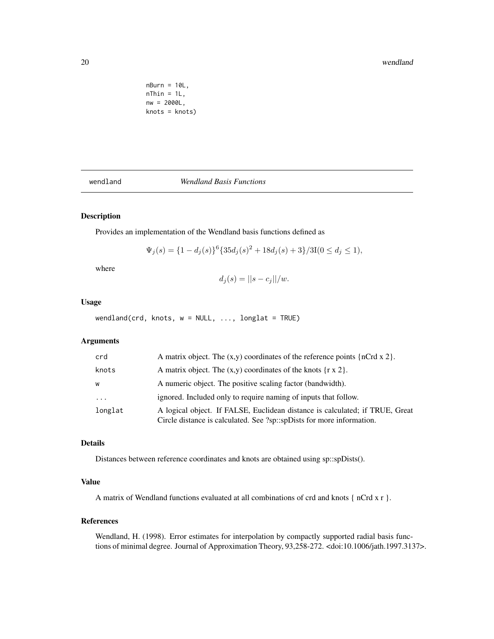#### <span id="page-19-0"></span>20 wendland

```
nBurn = 10L,nThin = 1L,
nw = 2000L,
knots = knots)
```
#### wendland *Wendland Basis Functions*

## Description

Provides an implementation of the Wendland basis functions defined as

$$
\Psi_j(s) = \{1 - d_j(s)\}^6 \{35d_j(s)^2 + 18d_j(s) + 3\}/3I(0 \le d_j \le 1),
$$

where

$$
d_j(s) = ||s - c_j||/w.
$$

## Usage

 $wendland(crd, knots, w = NULL, ..., longlat = TRUE)$ 

## Arguments

| crd     | A matrix object. The $(x,y)$ coordinates of the reference points $\{nCrd x 2\}$ .                                                                     |
|---------|-------------------------------------------------------------------------------------------------------------------------------------------------------|
| knots   | A matrix object. The $(x,y)$ coordinates of the knots $\{r \times 2\}$ .                                                                              |
| W       | A numeric object. The positive scaling factor (bandwidth).                                                                                            |
| $\cdot$ | ignored. Included only to require naming of inputs that follow.                                                                                       |
| longlat | A logical object. If FALSE, Euclidean distance is calculated; if TRUE, Great<br>Circle distance is calculated. See ?sp::spDists for more information. |

## Details

Distances between reference coordinates and knots are obtained using sp::spDists().

## Value

A matrix of Wendland functions evaluated at all combinations of crd and knots { nCrd x r }.

#### References

Wendland, H. (1998). Error estimates for interpolation by compactly supported radial basis functions of minimal degree. Journal of Approximation Theory, 93,258-272. <doi:10.1006/jath.1997.3137>.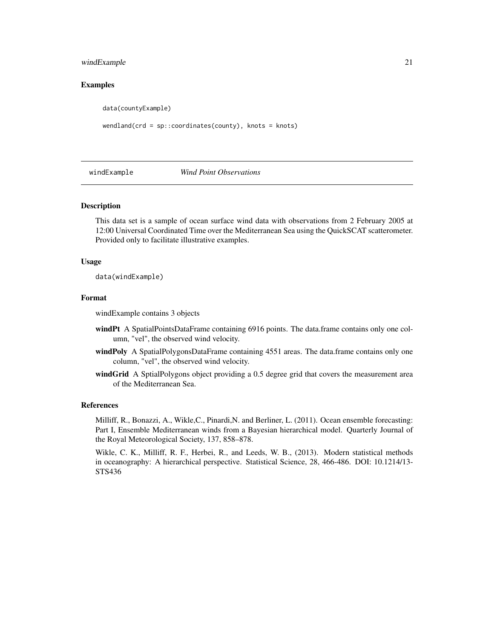#### <span id="page-20-0"></span>windExample 21

## Examples

data(countyExample)

wendland(crd = sp::coordinates(county), knots = knots)

## windExample *Wind Point Observations*

#### Description

This data set is a sample of ocean surface wind data with observations from 2 February 2005 at 12:00 Universal Coordinated Time over the Mediterranean Sea using the QuickSCAT scatterometer. Provided only to facilitate illustrative examples.

#### Usage

data(windExample)

#### Format

windExample contains 3 objects

- windPt A SpatialPointsDataFrame containing 6916 points. The data.frame contains only one column, "vel", the observed wind velocity.
- windPoly A SpatialPolygonsDataFrame containing 4551 areas. The data.frame contains only one column, "vel", the observed wind velocity.
- windGrid A SptialPolygons object providing a 0.5 degree grid that covers the measurement area of the Mediterranean Sea.

#### References

Milliff, R., Bonazzi, A., Wikle,C., Pinardi,N. and Berliner, L. (2011). Ocean ensemble forecasting: Part I, Ensemble Mediterranean winds from a Bayesian hierarchical model. Quarterly Journal of the Royal Meteorological Society, 137, 858–878.

Wikle, C. K., Milliff, R. F., Herbei, R., and Leeds, W. B., (2013). Modern statistical methods in oceanography: A hierarchical perspective. Statistical Science, 28, 466-486. DOI: 10.1214/13- STS436